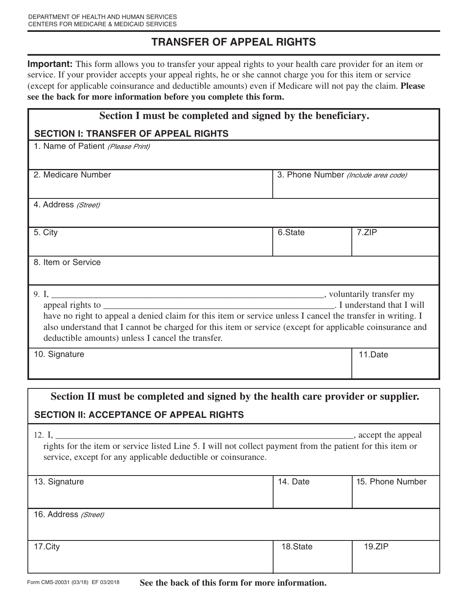# **TRANSFER OF APPEAL RIGHTS**

**Important:** This form allows you to transfer your appeal rights to your health care provider for an item or service. If your provider accepts your appeal rights, he or she cannot charge you for this item or service (except for applicable coinsurance and deductible amounts) even if Medicare will not pay the claim. **Please see the back for more information before you complete this form.** 

| Section I must be completed and signed by the beneficiary.                                                                                                    |                                     |         |  |  |
|---------------------------------------------------------------------------------------------------------------------------------------------------------------|-------------------------------------|---------|--|--|
| <b>SECTION I: TRANSFER OF APPEAL RIGHTS</b>                                                                                                                   |                                     |         |  |  |
| 1. Name of Patient (Please Print)                                                                                                                             |                                     |         |  |  |
|                                                                                                                                                               |                                     |         |  |  |
| 2. Medicare Number                                                                                                                                            | 3. Phone Number (Include area code) |         |  |  |
|                                                                                                                                                               |                                     |         |  |  |
| 4. Address (Street)                                                                                                                                           |                                     |         |  |  |
|                                                                                                                                                               |                                     |         |  |  |
| 5. City                                                                                                                                                       | 6.State                             | 7.ZIP   |  |  |
| 8. Item or Service                                                                                                                                            |                                     |         |  |  |
|                                                                                                                                                               |                                     |         |  |  |
|                                                                                                                                                               |                                     |         |  |  |
| Landerstand that I will                                                                                                                                       |                                     |         |  |  |
| have no right to appeal a denied claim for this item or service unless I cancel the transfer in writing. I                                                    |                                     |         |  |  |
| also understand that I cannot be charged for this item or service (except for applicable coinsurance and<br>deductible amounts) unless I cancel the transfer. |                                     |         |  |  |
|                                                                                                                                                               |                                     |         |  |  |
| 10. Signature                                                                                                                                                 |                                     | 11.Date |  |  |
|                                                                                                                                                               |                                     |         |  |  |
| Section II must be completed and signed by the health care provider or supplier.                                                                              |                                     |         |  |  |
|                                                                                                                                                               |                                     |         |  |  |

## **SECTION II: ACCEPTANCE OF APPEAL RIGHTS**

| , accept the appeal<br>12. I.<br>rights for the item or service listed Line 5. I will not collect payment from the patient for this item or<br>service, except for any applicable deductible or coinsurance. |          |                  |  |
|--------------------------------------------------------------------------------------------------------------------------------------------------------------------------------------------------------------|----------|------------------|--|
| 13. Signature                                                                                                                                                                                                | 14. Date | 15. Phone Number |  |
| 16. Address (Street)                                                                                                                                                                                         |          |                  |  |
| 17.City                                                                                                                                                                                                      | 18.State | 19.ZIP           |  |